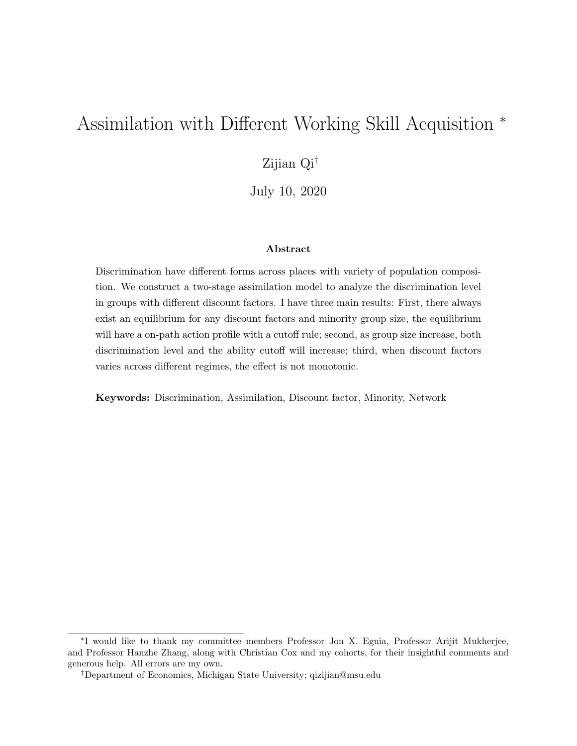# Assimilation with Different Working Skill Acquisition <sup>∗</sup>

## Zijian Qi†

July 10, 2020

#### Abstract

Discrimination have different forms across places with variety of population composition. We construct a two-stage assimilation model to analyze the discrimination level in groups with different discount factors. I have three main results: First, there always exist an equilibrium for any discount factors and minority group size, the equilibrium will have a on-path action profile with a cutoff rule; second, as group size increase, both discrimination level and the ability cutoff will increase; third, when discount factors varies across different regimes, the effect is not monotonic.

Keywords: Discrimination, Assimilation, Discount factor, Minority, Network

<sup>∗</sup> I would like to thank my committee members Professor Jon X. Eguia, Professor Arijit Mukherjee, and Professor Hanzhe Zhang, along with Christian Cox and my cohorts, for their insightful comments and generous help. All errors are my own.

<sup>†</sup>Department of Economics, Michigan State University; qizijian@msu.edu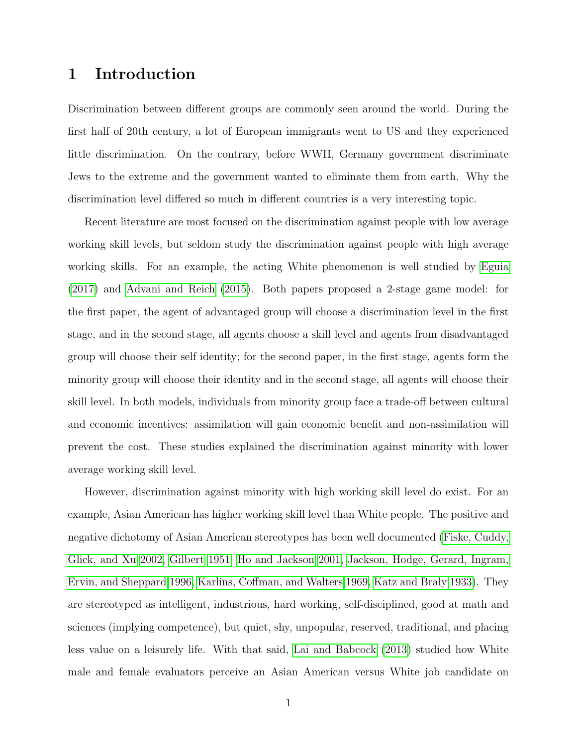## 1 Introduction

Discrimination between different groups are commonly seen around the world. During the first half of 20th century, a lot of European immigrants went to US and they experienced little discrimination. On the contrary, before WWII, Germany government discriminate Jews to the extreme and the government wanted to eliminate them from earth. Why the discrimination level differed so much in different countries is a very interesting topic.

Recent literature are most focused on the discrimination against people with low average working skill levels, but seldom study the discrimination against people with high average working skills. For an example, the acting White phenomenon is well studied by [Eguia](#page-17-0) [\(2017\)](#page-17-0) and [Advani and Reich \(2015\)](#page-17-1). Both papers proposed a 2-stage game model: for the first paper, the agent of advantaged group will choose a discrimination level in the first stage, and in the second stage, all agents choose a skill level and agents from disadvantaged group will choose their self identity; for the second paper, in the first stage, agents form the minority group will choose their identity and in the second stage, all agents will choose their skill level. In both models, individuals from minority group face a trade-off between cultural and economic incentives: assimilation will gain economic benefit and non-assimilation will prevent the cost. These studies explained the discrimination against minority with lower average working skill level.

However, discrimination against minority with high working skill level do exist. For an example, Asian American has higher working skill level than White people. The positive and negative dichotomy of Asian American stereotypes has been well documented [\(Fiske, Cuddy,](#page-17-2) [Glick, and Xu 2002,](#page-17-2) [Gilbert 1951,](#page-17-3) [Ho and Jackson 2001,](#page-18-0) [Jackson, Hodge, Gerard, Ingram,](#page-18-1) [Ervin, and Sheppard 1996,](#page-18-1) [Karlins, Coffman, and Walters 1969,](#page-18-2) [Katz and Braly 1933\)](#page-18-3). They are stereotyped as intelligent, industrious, hard working, self-disciplined, good at math and sciences (implying competence), but quiet, shy, unpopular, reserved, traditional, and placing less value on a leisurely life. With that said, [Lai and Babcock \(2013\)](#page-18-4) studied how White male and female evaluators perceive an Asian American versus White job candidate on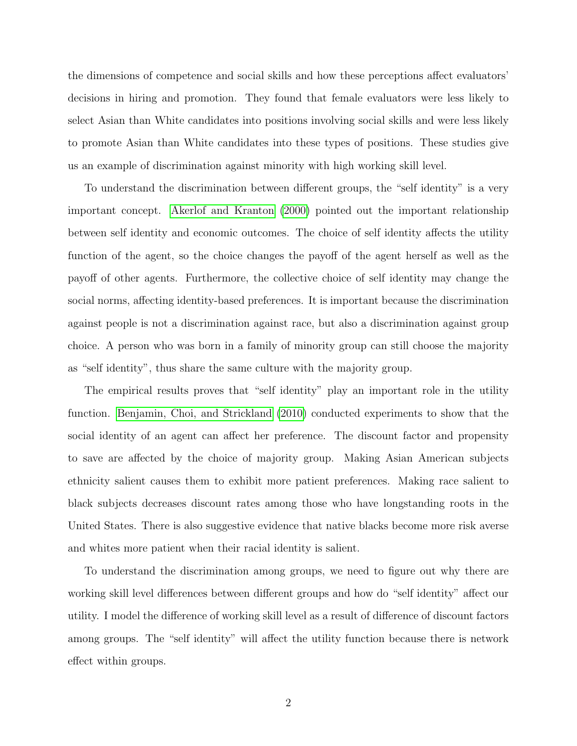the dimensions of competence and social skills and how these perceptions affect evaluators' decisions in hiring and promotion. They found that female evaluators were less likely to select Asian than White candidates into positions involving social skills and were less likely to promote Asian than White candidates into these types of positions. These studies give us an example of discrimination against minority with high working skill level.

To understand the discrimination between different groups, the "self identity" is a very important concept. [Akerlof and Kranton \(2000\)](#page-17-4) pointed out the important relationship between self identity and economic outcomes. The choice of self identity affects the utility function of the agent, so the choice changes the payoff of the agent herself as well as the payoff of other agents. Furthermore, the collective choice of self identity may change the social norms, affecting identity-based preferences. It is important because the discrimination against people is not a discrimination against race, but also a discrimination against group choice. A person who was born in a family of minority group can still choose the majority as "self identity", thus share the same culture with the majority group.

The empirical results proves that "self identity" play an important role in the utility function. [Benjamin, Choi, and Strickland \(2010\)](#page-17-5) conducted experiments to show that the social identity of an agent can affect her preference. The discount factor and propensity to save are affected by the choice of majority group. Making Asian American subjects ethnicity salient causes them to exhibit more patient preferences. Making race salient to black subjects decreases discount rates among those who have longstanding roots in the United States. There is also suggestive evidence that native blacks become more risk averse and whites more patient when their racial identity is salient.

To understand the discrimination among groups, we need to figure out why there are working skill level differences between different groups and how do "self identity" affect our utility. I model the difference of working skill level as a result of difference of discount factors among groups. The "self identity" will affect the utility function because there is network effect within groups.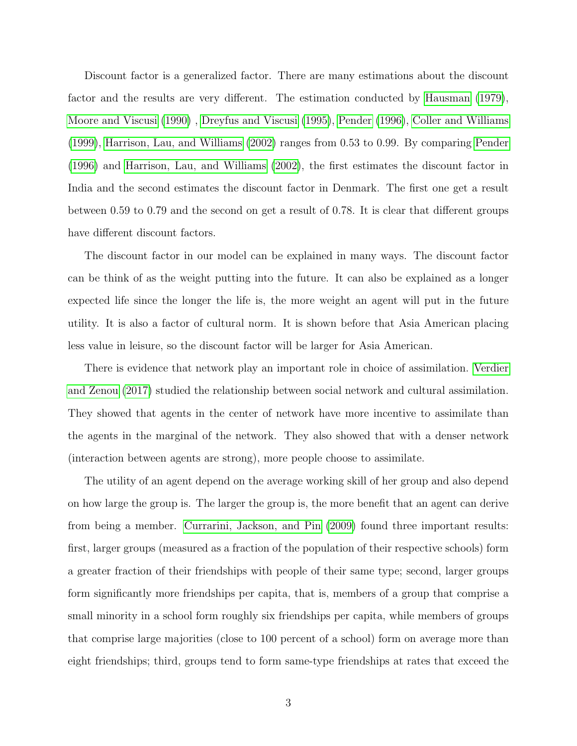Discount factor is a generalized factor. There are many estimations about the discount factor and the results are very different. The estimation conducted by [Hausman \(1979\)](#page-18-5), [Moore and Viscusi \(1990\)](#page-18-6), [Dreyfus and Viscusi \(1995\)](#page-17-6), [Pender \(1996\)](#page-18-7), [Coller and Williams](#page-17-7) [\(1999\)](#page-17-7), [Harrison, Lau, and Williams \(2002\)](#page-17-8) ranges from 0.53 to 0.99. By comparing [Pender](#page-18-7) [\(1996\)](#page-18-7) and [Harrison, Lau, and Williams \(2002\)](#page-17-8), the first estimates the discount factor in India and the second estimates the discount factor in Denmark. The first one get a result between 0.59 to 0.79 and the second on get a result of 0.78. It is clear that different groups have different discount factors.

The discount factor in our model can be explained in many ways. The discount factor can be think of as the weight putting into the future. It can also be explained as a longer expected life since the longer the life is, the more weight an agent will put in the future utility. It is also a factor of cultural norm. It is shown before that Asia American placing less value in leisure, so the discount factor will be larger for Asia American.

There is evidence that network play an important role in choice of assimilation. [Verdier](#page-18-8) [and Zenou \(2017\)](#page-18-8) studied the relationship between social network and cultural assimilation. They showed that agents in the center of network have more incentive to assimilate than the agents in the marginal of the network. They also showed that with a denser network (interaction between agents are strong), more people choose to assimilate.

The utility of an agent depend on the average working skill of her group and also depend on how large the group is. The larger the group is, the more benefit that an agent can derive from being a member. [Currarini, Jackson, and Pin \(2009\)](#page-17-9) found three important results: first, larger groups (measured as a fraction of the population of their respective schools) form a greater fraction of their friendships with people of their same type; second, larger groups form significantly more friendships per capita, that is, members of a group that comprise a small minority in a school form roughly six friendships per capita, while members of groups that comprise large majorities (close to 100 percent of a school) form on average more than eight friendships; third, groups tend to form same-type friendships at rates that exceed the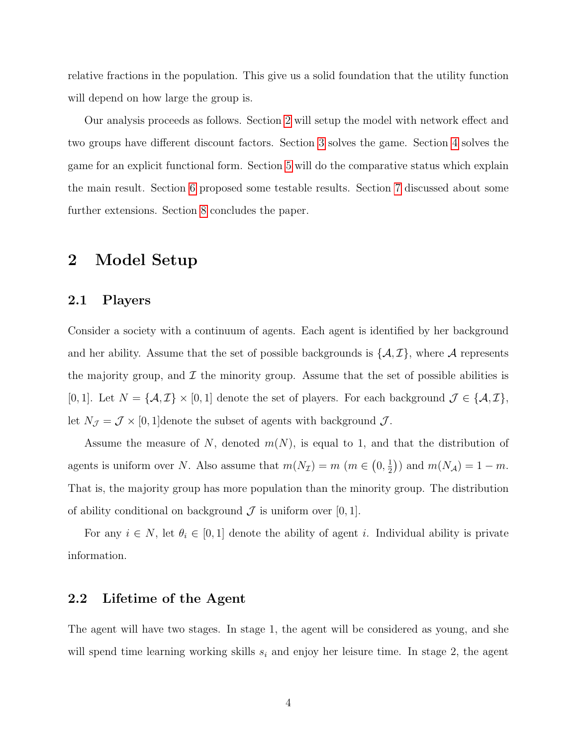relative fractions in the population. This give us a solid foundation that the utility function will depend on how large the group is.

Our analysis proceeds as follows. Section [2](#page-4-0) will setup the model with network effect and two groups have different discount factors. Section [3](#page-8-0) solves the game. Section [4](#page-11-0) solves the game for an explicit functional form. Section [5](#page-12-0) will do the comparative status which explain the main result. Section [6](#page-15-0) proposed some testable results. Section [7](#page-15-1) discussed about some further extensions. Section [8](#page-16-0) concludes the paper.

## <span id="page-4-0"></span>2 Model Setup

## 2.1 Players

Consider a society with a continuum of agents. Each agent is identified by her background and her ability. Assume that the set of possible backgrounds is  $\{\mathcal{A}, \mathcal{I}\}\,$ , where  $\mathcal{A}$  represents the majority group, and  $\mathcal I$  the minority group. Assume that the set of possible abilities is [0, 1]. Let  $N = \{A, \mathcal{I}\}\times[0, 1]$  denote the set of players. For each background  $\mathcal{J} \in \{A, \mathcal{I}\}\$ , let  $N_{\mathcal{J}} = \mathcal{J} \times [0, 1]$ denote the subset of agents with background  $\mathcal{J}$ .

Assume the measure of N, denoted  $m(N)$ , is equal to 1, and that the distribution of agents is uniform over N. Also assume that  $m(N_{\mathcal{I}}) = m$  ( $m \in (0, \frac{1}{2})$  $(\frac{1}{2})$  and  $m(N_{\mathcal{A}}) = 1 - m$ . That is, the majority group has more population than the minority group. The distribution of ability conditional on background  $\mathcal J$  is uniform over  $[0, 1]$ .

For any  $i \in N$ , let  $\theta_i \in [0,1]$  denote the ability of agent i. Individual ability is private information.

#### 2.2 Lifetime of the Agent

The agent will have two stages. In stage 1, the agent will be considered as young, and she will spend time learning working skills  $s_i$  and enjoy her leisure time. In stage 2, the agent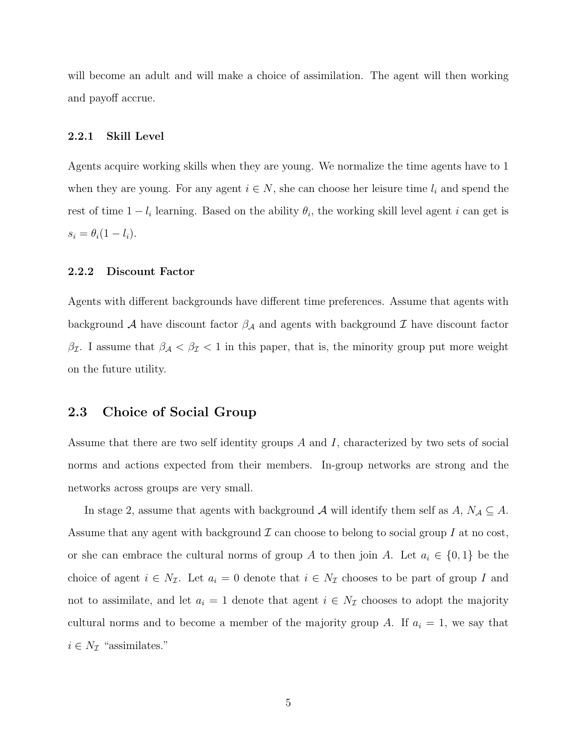will become an adult and will make a choice of assimilation. The agent will then working and payoff accrue.

#### 2.2.1 Skill Level

Agents acquire working skills when they are young. We normalize the time agents have to 1 when they are young. For any agent  $i \in N$ , she can choose her leisure time  $l_i$  and spend the rest of time  $1 - l_i$  learning. Based on the ability  $\theta_i$ , the working skill level agent i can get is  $s_i = \theta_i(1 - l_i).$ 

#### 2.2.2 Discount Factor

Agents with different backgrounds have different time preferences. Assume that agents with background A have discount factor  $\beta_A$  and agents with background T have discount factor  $\beta_{\mathcal{I}}$ . I assume that  $\beta_{\mathcal{A}} < \beta_{\mathcal{I}} < 1$  in this paper, that is, the minority group put more weight on the future utility.

#### 2.3 Choice of Social Group

Assume that there are two self identity groups A and I, characterized by two sets of social norms and actions expected from their members. In-group networks are strong and the networks across groups are very small.

In stage 2, assume that agents with background A will identify them self as  $A, N_A \subseteq A$ . Assume that any agent with background  $\mathcal I$  can choose to belong to social group I at no cost. or she can embrace the cultural norms of group A to then join A. Let  $a_i \in \{0,1\}$  be the choice of agent  $i \in N_{\mathcal{I}}$ . Let  $a_i = 0$  denote that  $i \in N_{\mathcal{I}}$  chooses to be part of group I and not to assimilate, and let  $a_i = 1$  denote that agent  $i \in N_{\mathcal{I}}$  chooses to adopt the majority cultural norms and to become a member of the majority group A. If  $a_i = 1$ , we say that  $i \in N_{\mathcal{I}}$  "assimilates."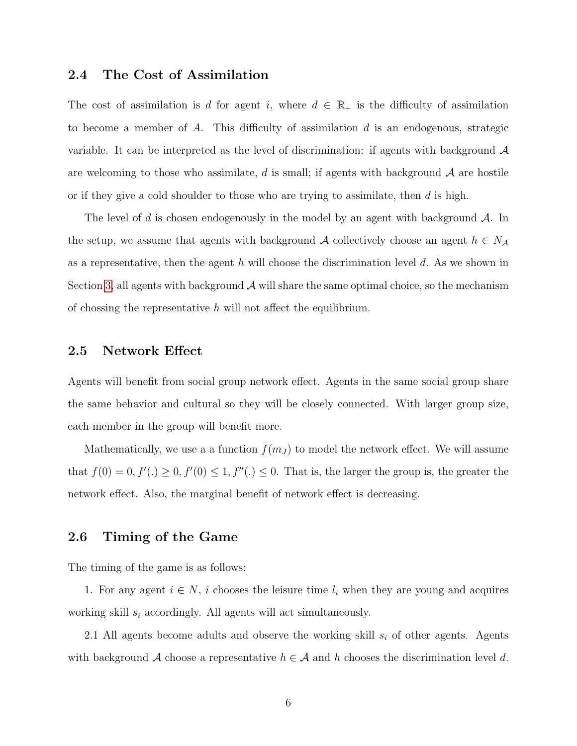## 2.4 The Cost of Assimilation

The cost of assimilation is d for agent i, where  $d \in \mathbb{R}_+$  is the difficulty of assimilation to become a member of A. This difficulty of assimilation  $d$  is an endogenous, strategic variable. It can be interpreted as the level of discrimination: if agents with background  $\mathcal A$ are welcoming to those who assimilate, d is small; if agents with background  $A$  are hostile or if they give a cold shoulder to those who are trying to assimilate, then  $d$  is high.

The level of d is chosen endogenously in the model by an agent with background  $\mathcal{A}$ . In the setup, we assume that agents with background A collectively choose an agent  $h \in N_{\mathcal{A}}$ as a representative, then the agent h will choose the discrimination level  $d$ . As we shown in Section [3,](#page-8-0) all agents with background  $\mathcal A$  will share the same optimal choice, so the mechanism of chossing the representative  $h$  will not affect the equilibrium.

#### 2.5 Network Effect

Agents will benefit from social group network effect. Agents in the same social group share the same behavior and cultural so they will be closely connected. With larger group size, each member in the group will benefit more.

Mathematically, we use a a function  $f(m_J)$  to model the network effect. We will assume that  $f(0) = 0, f'(.) \ge 0, f'(0) \le 1, f''(.) \le 0$ . That is, the larger the group is, the greater the network effect. Also, the marginal benefit of network effect is decreasing.

#### 2.6 Timing of the Game

The timing of the game is as follows:

1. For any agent  $i \in N$ , i chooses the leisure time  $l_i$  when they are young and acquires working skill  $s_i$  accordingly. All agents will act simultaneously.

2.1 All agents become adults and observe the working skill  $s_i$  of other agents. Agents with background A choose a representative  $h \in \mathcal{A}$  and h chooses the discrimination level d.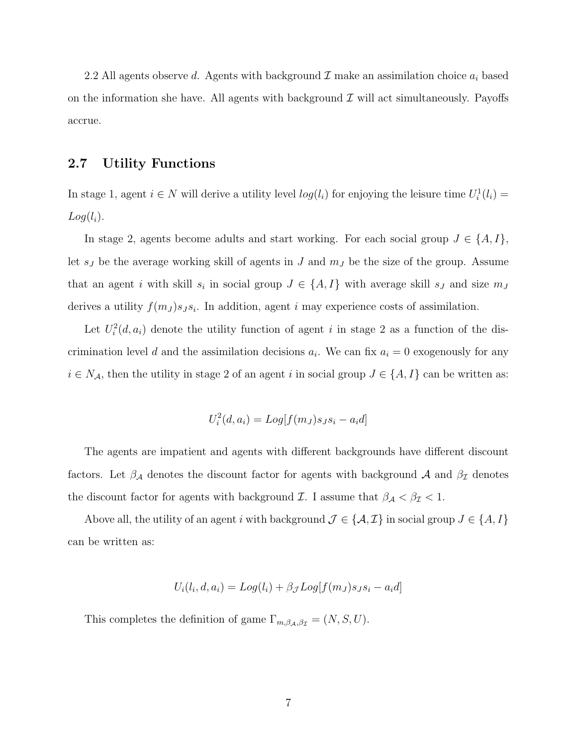2.2 All agents observe d. Agents with background  $\mathcal I$  make an assimilation choice  $a_i$  based on the information she have. All agents with background  $\mathcal I$  will act simultaneously. Payoffs accrue.

#### 2.7 Utility Functions

In stage 1, agent  $i \in N$  will derive a utility level  $log(l_i)$  for enjoying the leisure time  $U_i^1(l_i)$  $Log(l_i)$ .

In stage 2, agents become adults and start working. For each social group  $J \in \{A, I\}$ , let  $s_J$  be the average working skill of agents in J and  $m_J$  be the size of the group. Assume that an agent i with skill  $s_i$  in social group  $J \in \{A, I\}$  with average skill  $s_j$  and size  $m_j$ derives a utility  $f(m_J) s_J s_i$ . In addition, agent i may experience costs of assimilation.

Let  $U_i^2(d, a_i)$  denote the utility function of agent i in stage 2 as a function of the discrimination level d and the assimilation decisions  $a_i$ . We can fix  $a_i = 0$  exogenously for any  $i \in N_A$ , then the utility in stage 2 of an agent i in social group  $J \in \{A, I\}$  can be written as:

$$
U_i^2(d, a_i) = Log[f(m_J)s_Js_i - a_i d]
$$

The agents are impatient and agents with different backgrounds have different discount factors. Let  $\beta_{\mathcal{A}}$  denotes the discount factor for agents with background  $\mathcal{A}$  and  $\beta_{\mathcal{I}}$  denotes the discount factor for agents with background  $\mathcal{I}$ . I assume that  $\beta_{\mathcal{A}} < \beta_{\mathcal{I}} < 1$ .

Above all, the utility of an agent i with background  $\mathcal{J} \in \{A, \mathcal{I}\}\$ in social group  $J \in \{A, I\}$ can be written as:

$$
U_i(l_i, d, a_i) = Log(l_i) + \beta_{\mathcal{J}} Log[f(m_{\mathcal{J}})S_{\mathcal{J}}S_i - a_i d]
$$

This completes the definition of game  $\Gamma_{m,\beta_{\mathcal{A}},\beta_{\mathcal{I}}} = (N, S, U)$ .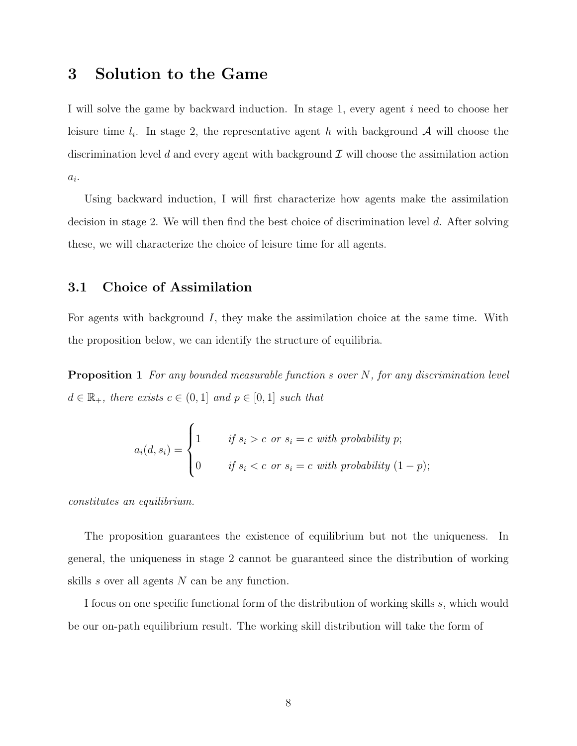## <span id="page-8-0"></span>3 Solution to the Game

I will solve the game by backward induction. In stage 1, every agent i need to choose her leisure time  $l_i$ . In stage 2, the representative agent h with background A will choose the discrimination level d and every agent with background  $\mathcal I$  will choose the assimilation action  $a_i$ .

Using backward induction, I will first characterize how agents make the assimilation decision in stage 2. We will then find the best choice of discrimination level d. After solving these, we will characterize the choice of leisure time for all agents.

## 3.1 Choice of Assimilation

For agents with background I, they make the assimilation choice at the same time. With the proposition below, we can identify the structure of equilibria.

**Proposition 1** For any bounded measurable function s over  $N$ , for any discrimination level  $d \in \mathbb{R}_+$ , there exists  $c \in (0,1]$  and  $p \in [0,1]$  such that

$$
a_i(d, s_i) = \begin{cases} 1 & \text{if } s_i > c \text{ or } s_i = c \text{ with probability } p; \\ 0 & \text{if } s_i < c \text{ or } s_i = c \text{ with probability } (1 - p); \end{cases}
$$

constitutes an equilibrium.

The proposition guarantees the existence of equilibrium but not the uniqueness. In general, the uniqueness in stage 2 cannot be guaranteed since the distribution of working skills s over all agents N can be any function.

I focus on one specific functional form of the distribution of working skills s, which would be our on-path equilibrium result. The working skill distribution will take the form of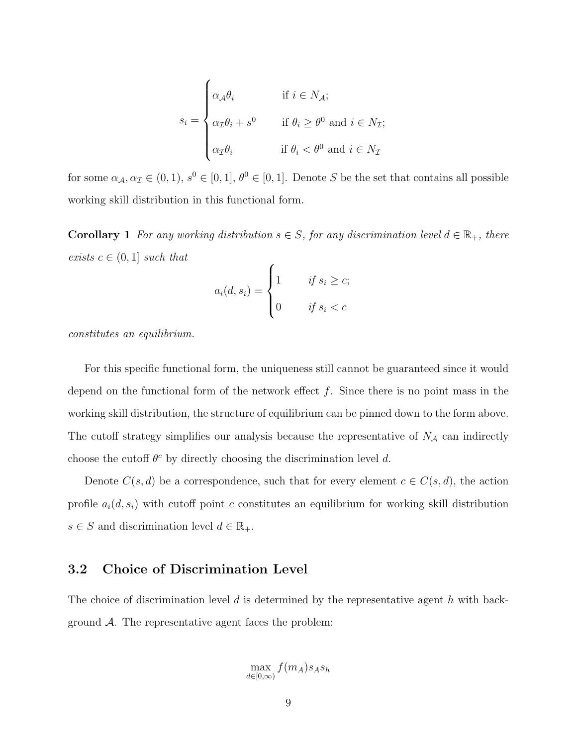$$
s_i = \begin{cases} \alpha_{\mathcal{A}}\theta_i & \text{if } i \in N_{\mathcal{A}}; \\ \alpha_{\mathcal{I}}\theta_i + s^0 & \text{if } \theta_i \ge \theta^0 \text{ and } i \in N_{\mathcal{I}}; \\ \alpha_{\mathcal{I}}\theta_i & \text{if } \theta_i < \theta^0 \text{ and } i \in N_{\mathcal{I}} \end{cases}
$$

for some  $\alpha_{\mathcal{A}}, \alpha_{\mathcal{I}} \in (0, 1), s^0 \in [0, 1], \theta^0 \in [0, 1]$ . Denote S be the set that contains all possible working skill distribution in this functional form.

**Corollary 1** For any working distribution  $s \in S$ , for any discrimination level  $d \in \mathbb{R}_+$ , there exists  $c \in (0,1]$  such that

$$
a_i(d, s_i) = \begin{cases} 1 & \text{if } s_i \ge c; \\ 0 & \text{if } s_i < c \end{cases}
$$

constitutes an equilibrium.

For this specific functional form, the uniqueness still cannot be guaranteed since it would depend on the functional form of the network effect  $f$ . Since there is no point mass in the working skill distribution, the structure of equilibrium can be pinned down to the form above. The cutoff strategy simplifies our analysis because the representative of  $N_A$  can indirectly choose the cutoff  $\theta^c$  by directly choosing the discrimination level d.

Denote  $C(s, d)$  be a correspondence, such that for every element  $c \in C(s, d)$ , the action profile  $a_i(d, s_i)$  with cutoff point c constitutes an equilibrium for working skill distribution  $s \in S$  and discrimination level  $d \in \mathbb{R}_+$ .

## 3.2 Choice of Discrimination Level

The choice of discrimination level d is determined by the representative agent h with background  $A$ . The representative agent faces the problem:

$$
\max_{d \in [0,\infty)} f(m_A) s_A s_h
$$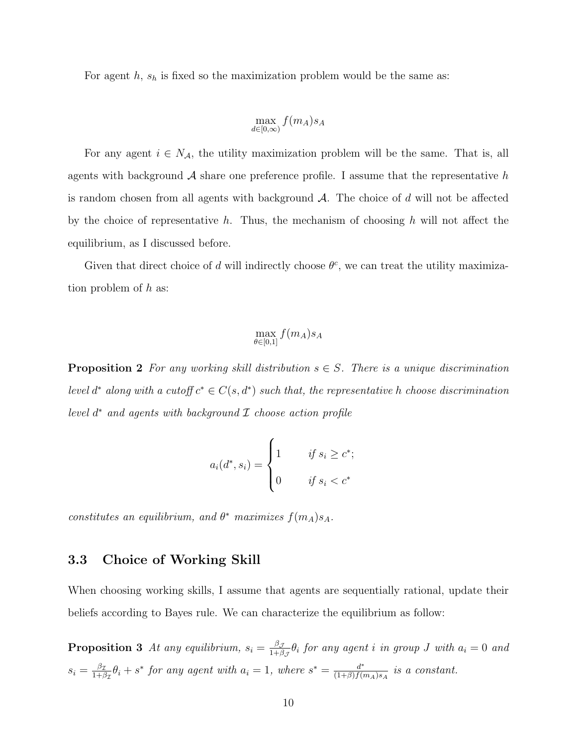For agent  $h$ ,  $s_h$  is fixed so the maximization problem would be the same as:

$$
\max_{d \in [0,\infty)} f(m_A) s_A
$$

For any agent  $i \in N_A$ , the utility maximization problem will be the same. That is, all agents with background  $\mathcal A$  share one preference profile. I assume that the representative h is random chosen from all agents with background  $A$ . The choice of d will not be affected by the choice of representative h. Thus, the mechanism of choosing h will not affect the equilibrium, as I discussed before.

Given that direct choice of d will indirectly choose  $\theta^c$ , we can treat the utility maximization problem of h as:

$$
\max_{\theta \in [0,1]} f(m_A) s_A
$$

**Proposition 2** For any working skill distribution  $s \in S$ . There is a unique discrimination level d<sup>\*</sup> along with a cutoff  $c^* \in C(s, d^*)$  such that, the representative h choose discrimination level  $d^*$  and agents with background  $\mathcal I$  choose action profile

$$
a_i(d^*, s_i) = \begin{cases} 1 & \text{if } s_i \ge c^*; \\ 0 & \text{if } s_i < c^* \end{cases}
$$

constitutes an equilibrium, and  $\theta^*$  maximizes  $f(m_A) s_A$ .

## 3.3 Choice of Working Skill

When choosing working skills, I assume that agents are sequentially rational, update their beliefs according to Bayes rule. We can characterize the equilibrium as follow:

**Proposition 3** At any equilibrium,  $s_i = \frac{\beta_j}{1+\beta_i}$  $\frac{\beta \mathcal{J}}{1+\beta \mathcal{J}}\theta_i$  for any agent i in group  $J$  with  $a_i=0$  and  $s_i = \frac{\beta_{\mathcal{I}}}{1+\beta}$  $\frac{\beta_{\mathcal{I}}}{1+\beta_{\mathcal{I}}} \theta_i + s^*$  for any agent with  $a_i = 1$ , where  $s^* = \frac{d^*}{(1+\beta)f^{(i)}}$  $\frac{d^*}{(1+\beta)f(m_A)s_A}$  is a constant.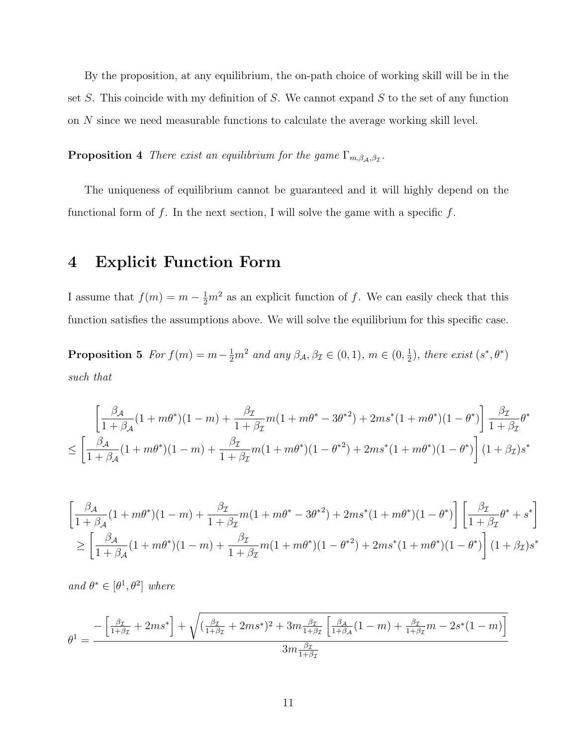By the proposition, at any equilibrium, the on-path choice of working skill will be in the set  $S$ . This coincide with my definition of  $S$ . We cannot expand  $S$  to the set of any function on N since we need measurable functions to calculate the average working skill level.

**Proposition 4** There exist an equilibrium for the game  $\Gamma_{m,\beta_{\mathcal{A}},\beta_{\mathcal{I}}}$ .

The uniqueness of equilibrium cannot be guaranteed and it will highly depend on the functional form of f. In the next section, I will solve the game with a specific f.

## <span id="page-11-0"></span>4 Explicit Function Form

I assume that  $f(m) = m - \frac{1}{2}m^2$  as an explicit function of f. We can easily check that this function satisfies the assumptions above. We will solve the equilibrium for this specific case.

**Proposition 5** For  $f(m) = m - \frac{1}{2}m^2$  and any  $\beta_{\mathcal{A}}, \beta_{\mathcal{I}} \in (0, 1), m \in (0, \frac{1}{2})$  $(\frac{1}{2})$ , there exist  $(s^*, \theta^*)$ such that

$$
\left[ \frac{\beta_{\mathcal{A}}}{1+\beta_{\mathcal{A}}}(1+m\theta^{*})(1-m) + \frac{\beta_{\mathcal{I}}}{1+\beta_{\mathcal{I}}}m(1+m\theta^{*}-3\theta^{*2}) + 2ms^{*}(1+m\theta^{*})(1-\theta^{*}) \right] \frac{\beta_{\mathcal{I}}}{1+\beta_{\mathcal{I}}} \theta^{*}
$$
  

$$
\leq \left[ \frac{\beta_{\mathcal{A}}}{1+\beta_{\mathcal{A}}}(1+m\theta^{*})(1-m) + \frac{\beta_{\mathcal{I}}}{1+\beta_{\mathcal{I}}}m(1+m\theta^{*})(1-\theta^{*2}) + 2ms^{*}(1+m\theta^{*})(1-\theta^{*}) \right] (1+\beta_{\mathcal{I}})s^{*}
$$

$$
\left[\frac{\beta_{\mathcal{A}}}{1+\beta_{\mathcal{A}}}(1+m\theta^{*})(1-m) + \frac{\beta_{\mathcal{I}}}{1+\beta_{\mathcal{I}}}m(1+m\theta^{*}-3\theta^{*2}) + 2ms^{*}(1+m\theta^{*})(1-\theta^{*})\right]\left[\frac{\beta_{\mathcal{I}}}{1+\beta_{\mathcal{I}}}\theta^{*}+s^{*}\right]
$$
  
\n
$$
\geq \left[\frac{\beta_{\mathcal{A}}}{1+\beta_{\mathcal{A}}}(1+m\theta^{*})(1-m) + \frac{\beta_{\mathcal{I}}}{1+\beta_{\mathcal{I}}}m(1+m\theta^{*})(1-\theta^{*2}) + 2ms^{*}(1+m\theta^{*})(1-\theta^{*})\right](1+\beta_{\mathcal{I}})s^{*}
$$

and  $\theta^* \in [\theta^1, \theta^2]$  where

$$
\theta^{1} = \frac{-\left[\frac{\beta_{\mathcal{I}}}{1+\beta_{\mathcal{I}}} + 2ms^{*}\right] + \sqrt{(\frac{\beta_{\mathcal{I}}}{1+\beta_{\mathcal{I}}} + 2ms^{*})^{2} + 3m\frac{\beta_{\mathcal{I}}}{1+\beta_{\mathcal{I}}}\left[\frac{\beta_{\mathcal{A}}}{1+\beta_{\mathcal{A}}}(1-m) + \frac{\beta_{\mathcal{I}}}{1+\beta_{\mathcal{I}}}m - 2s^{*}(1-m)\right]}}{3m\frac{\beta_{\mathcal{I}}}{1+\beta_{\mathcal{I}}}}
$$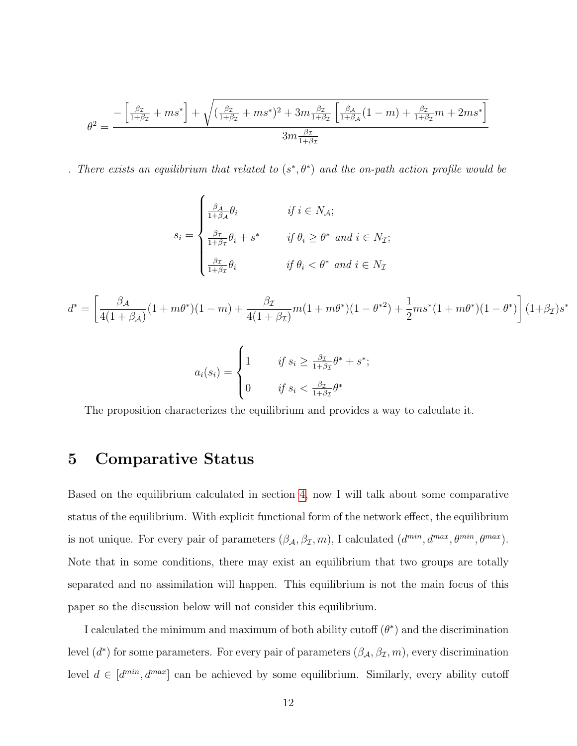$$
\theta^2 = \frac{-\left[\frac{\beta_{\mathcal{I}}}{1+\beta_{\mathcal{I}}} + ms^*\right] + \sqrt{(\frac{\beta_{\mathcal{I}}}{1+\beta_{\mathcal{I}}} + ms^*)^2 + 3m\frac{\beta_{\mathcal{I}}}{1+\beta_{\mathcal{I}}}\left[\frac{\beta_{\mathcal{A}}}{1+\beta_{\mathcal{A}}}(1-m) + \frac{\beta_{\mathcal{I}}}{1+\beta_{\mathcal{I}}}m + 2ms^*\right]}}{3m\frac{\beta_{\mathcal{I}}}{1+\beta_{\mathcal{I}}}}
$$

. There exists an equilibrium that related to  $(s^*,\theta^*)$  and the on-path action profile would be

$$
s_i = \begin{cases} \frac{\beta_A}{1+\beta_A} \theta_i & \text{if } i \in N_A; \\ \frac{\beta_{\mathcal{I}}}{1+\beta_{\mathcal{I}}} \theta_i + s^* & \text{if } \theta_i \ge \theta^* \text{ and } i \in N_{\mathcal{I}}; \\ \frac{\beta_{\mathcal{I}}}{1+\beta_{\mathcal{I}}} \theta_i & \text{if } \theta_i < \theta^* \text{ and } i \in N_{\mathcal{I}} \end{cases}
$$

$$
d^* = \left[ \frac{\beta_{\mathcal{A}}}{4(1+\beta_{\mathcal{A}})} (1+m\theta^*)(1-m) + \frac{\beta_{\mathcal{I}}}{4(1+\beta_{\mathcal{I}})} m(1+m\theta^*)(1-\theta^{*2}) + \frac{1}{2} m s^* (1+m\theta^*)(1-\theta^*) \right] (1+\beta_{\mathcal{I}}) s^*
$$

$$
a_i(s_i) = \begin{cases} 1 & \text{if } s_i \ge \frac{\beta_{\mathcal{I}}}{1 + \beta_{\mathcal{I}}} \theta^* + s^*; \\ 0 & \text{if } s_i < \frac{\beta_{\mathcal{I}}}{1 + \beta_{\mathcal{I}}} \theta^* \end{cases}
$$

The proposition characterizes the equilibrium and provides a way to calculate it.

## <span id="page-12-0"></span>5 Comparative Status

Based on the equilibrium calculated in section [4,](#page-11-0) now I will talk about some comparative status of the equilibrium. With explicit functional form of the network effect, the equilibrium is not unique. For every pair of parameters  $(\beta_{\mathcal{A}}, \beta_{\mathcal{I}}, m)$ , I calculated  $(d^{min}, d^{max}, \theta^{min}, \theta^{max})$ . Note that in some conditions, there may exist an equilibrium that two groups are totally separated and no assimilation will happen. This equilibrium is not the main focus of this paper so the discussion below will not consider this equilibrium.

I calculated the minimum and maximum of both ability cutoff  $(\theta^*)$  and the discrimination level  $(d^*)$  for some parameters. For every pair of parameters  $(\beta_{\mathcal{A}}, \beta_{\mathcal{I}}, m)$ , every discrimination level  $d \in [d^{min}, d^{max}]$  can be achieved by some equilibrium. Similarly, every ability cutoff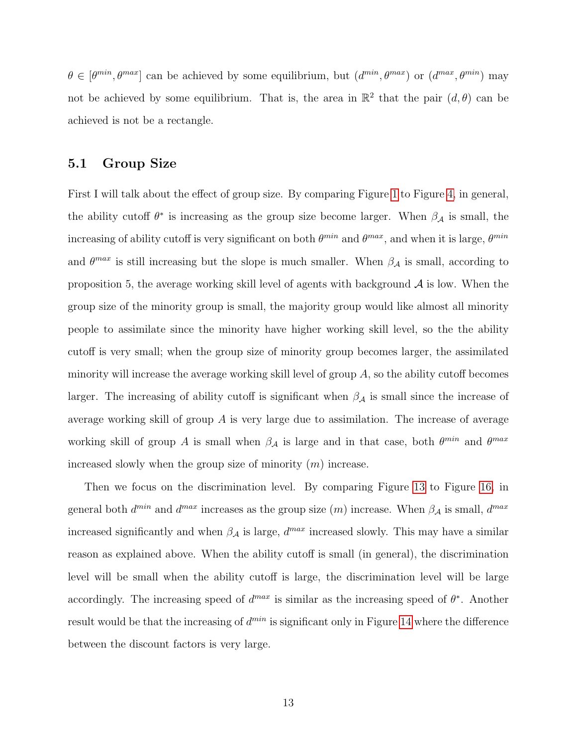$\theta \in [\theta^{min}, \theta^{max}]$  can be achieved by some equilibrium, but  $(d^{min}, \theta^{max})$  or  $(d^{max}, \theta^{min})$  may not be achieved by some equilibrium. That is, the area in  $\mathbb{R}^2$  that the pair  $(d, \theta)$  can be achieved is not be a rectangle.

#### 5.1 Group Size

First I will talk about the effect of group size. By comparing Figure [1](#page-19-0) to Figure [4,](#page-20-0) in general, the ability cutoff  $\theta^*$  is increasing as the group size become larger. When  $\beta_{\mathcal{A}}$  is small, the increasing of ability cutoff is very significant on both  $\theta^{min}$  and  $\theta^{max}$ , and when it is large,  $\theta^{min}$ and  $\theta^{max}$  is still increasing but the slope is much smaller. When  $\beta_{\mathcal{A}}$  is small, according to proposition 5, the average working skill level of agents with background  $A$  is low. When the group size of the minority group is small, the majority group would like almost all minority people to assimilate since the minority have higher working skill level, so the the ability cutoff is very small; when the group size of minority group becomes larger, the assimilated minority will increase the average working skill level of group  $A$ , so the ability cutoff becomes larger. The increasing of ability cutoff is significant when  $\beta_{\mathcal{A}}$  is small since the increase of average working skill of group A is very large due to assimilation. The increase of average working skill of group A is small when  $\beta_A$  is large and in that case, both  $\theta^{min}$  and  $\theta^{max}$ increased slowly when the group size of minority  $(m)$  increase.

Then we focus on the discrimination level. By comparing Figure [13](#page-25-0) to Figure [16,](#page-26-0) in general both  $d^{min}$  and  $d^{max}$  increases as the group size  $(m)$  increase. When  $\beta_A$  is small,  $d^{max}$ increased significantly and when  $\beta_A$  is large,  $d^{max}$  increased slowly. This may have a similar reason as explained above. When the ability cutoff is small (in general), the discrimination level will be small when the ability cutoff is large, the discrimination level will be large accordingly. The increasing speed of  $d^{max}$  is similar as the increasing speed of  $\theta^*$ . Another result would be that the increasing of  $d^{min}$  is significant only in Figure [14](#page-25-1) where the difference between the discount factors is very large.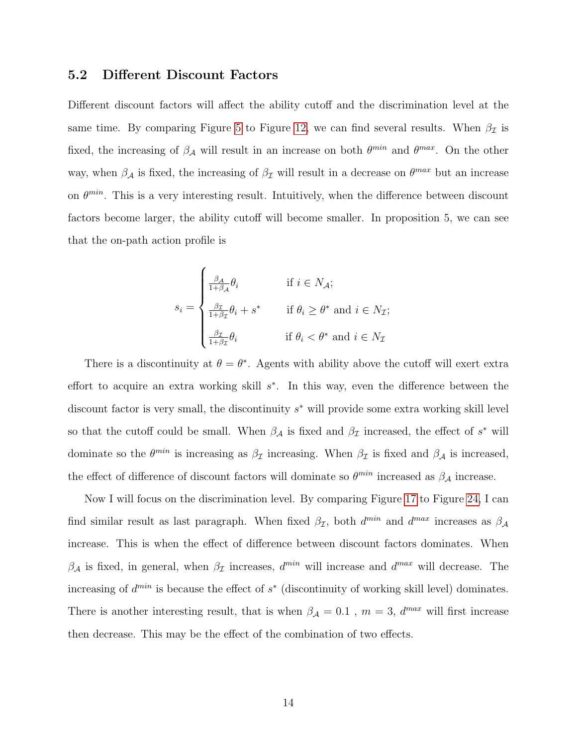## 5.2 Different Discount Factors

Different discount factors will affect the ability cutoff and the discrimination level at the same time. By comparing Figure [5](#page-21-0) to Figure [12,](#page-24-0) we can find several results. When  $\beta_{\mathcal{I}}$  is fixed, the increasing of  $\beta_A$  will result in an increase on both  $\theta^{min}$  and  $\theta^{max}$ . On the other way, when  $\beta_A$  is fixed, the increasing of  $\beta_{\mathcal{I}}$  will result in a decrease on  $\theta^{max}$  but an increase on  $\theta^{min}$ . This is a very interesting result. Intuitively, when the difference between discount factors become larger, the ability cutoff will become smaller. In proposition 5, we can see that the on-path action profile is

$$
s_i = \begin{cases} \frac{\beta_{\mathcal{A}}}{1+\beta_{\mathcal{A}}} \theta_i & \text{if } i \in N_{\mathcal{A}}; \\ \frac{\beta_{\mathcal{I}}}{1+\beta_{\mathcal{I}}} \theta_i + s^* & \text{if } \theta_i \ge \theta^* \text{ and } i \in N_{\mathcal{I}}; \\ \frac{\beta_{\mathcal{I}}}{1+\beta_{\mathcal{I}}} \theta_i & \text{if } \theta_i < \theta^* \text{ and } i \in N_{\mathcal{I}} \end{cases}
$$

There is a discontinuity at  $\theta = \theta^*$ . Agents with ability above the cutoff will exert extra effort to acquire an extra working skill  $s^*$ . In this way, even the difference between the discount factor is very small, the discontinuity  $s^*$  will provide some extra working skill level so that the cutoff could be small. When  $\beta_{\mathcal{A}}$  is fixed and  $\beta_{\mathcal{I}}$  increased, the effect of  $s^*$  will dominate so the  $\theta^{min}$  is increasing as  $\beta_{\mathcal{I}}$  increasing. When  $\beta_{\mathcal{I}}$  is fixed and  $\beta_{\mathcal{A}}$  is increased, the effect of difference of discount factors will dominate so  $\theta^{min}$  increased as  $\beta_{\mathcal{A}}$  increase.

Now I will focus on the discrimination level. By comparing Figure [17](#page-27-0) to Figure [24,](#page-30-0) I can find similar result as last paragraph. When fixed  $\beta_{\mathcal{I}}$ , both  $d^{min}$  and  $d^{max}$  increases as  $\beta_{\mathcal{A}}$ increase. This is when the effect of difference between discount factors dominates. When  $\beta_{\mathcal{A}}$  is fixed, in general, when  $\beta_{\mathcal{I}}$  increases,  $d^{min}$  will increase and  $d^{max}$  will decrease. The increasing of  $d^{min}$  is because the effect of  $s^*$  (discontinuity of working skill level) dominates. There is another interesting result, that is when  $\beta_{\mathcal{A}} = 0.1$ ,  $m = 3$ ,  $d^{max}$  will first increase then decrease. This may be the effect of the combination of two effects.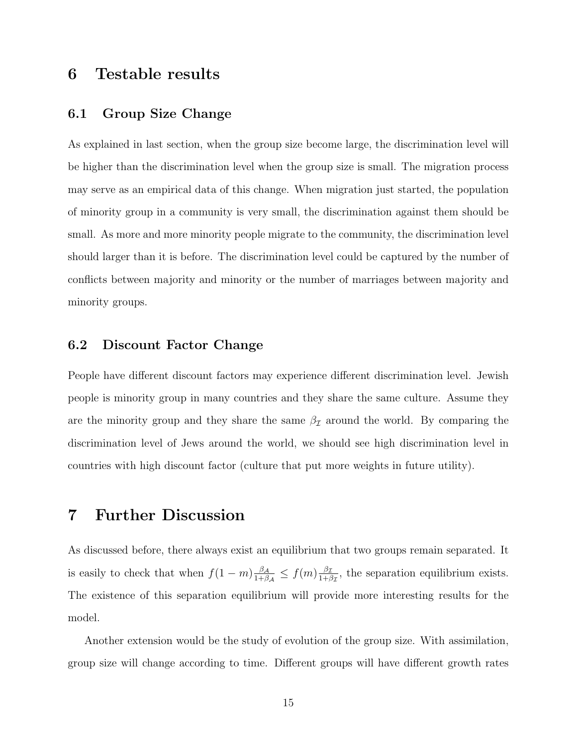# <span id="page-15-0"></span>6 Testable results

## 6.1 Group Size Change

As explained in last section, when the group size become large, the discrimination level will be higher than the discrimination level when the group size is small. The migration process may serve as an empirical data of this change. When migration just started, the population of minority group in a community is very small, the discrimination against them should be small. As more and more minority people migrate to the community, the discrimination level should larger than it is before. The discrimination level could be captured by the number of conflicts between majority and minority or the number of marriages between majority and minority groups.

## 6.2 Discount Factor Change

People have different discount factors may experience different discrimination level. Jewish people is minority group in many countries and they share the same culture. Assume they are the minority group and they share the same  $\beta_{\mathcal{I}}$  around the world. By comparing the discrimination level of Jews around the world, we should see high discrimination level in countries with high discount factor (culture that put more weights in future utility).

## <span id="page-15-1"></span>7 Further Discussion

As discussed before, there always exist an equilibrium that two groups remain separated. It is easily to check that when  $f(1 - m) \frac{\beta_A}{1 + \beta_B}$  $\frac{\beta_{\mathcal{A}}}{1+\beta_{\mathcal{A}}} \leq f(m) \frac{\beta_{\mathcal{I}}}{1+\beta_{\mathcal{A}}}$  $\frac{\beta_{\mathcal{I}}}{1+\beta_{\mathcal{I}}},$  the separation equilibrium exists. The existence of this separation equilibrium will provide more interesting results for the model.

Another extension would be the study of evolution of the group size. With assimilation, group size will change according to time. Different groups will have different growth rates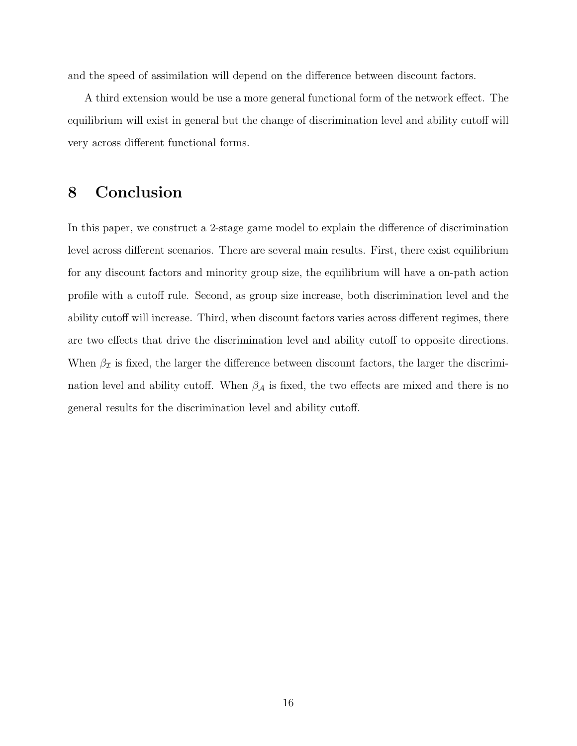and the speed of assimilation will depend on the difference between discount factors.

A third extension would be use a more general functional form of the network effect. The equilibrium will exist in general but the change of discrimination level and ability cutoff will very across different functional forms.

## <span id="page-16-0"></span>8 Conclusion

In this paper, we construct a 2-stage game model to explain the difference of discrimination level across different scenarios. There are several main results. First, there exist equilibrium for any discount factors and minority group size, the equilibrium will have a on-path action profile with a cutoff rule. Second, as group size increase, both discrimination level and the ability cutoff will increase. Third, when discount factors varies across different regimes, there are two effects that drive the discrimination level and ability cutoff to opposite directions. When  $\beta_{\mathcal{I}}$  is fixed, the larger the difference between discount factors, the larger the discrimination level and ability cutoff. When  $\beta_{\mathcal{A}}$  is fixed, the two effects are mixed and there is no general results for the discrimination level and ability cutoff.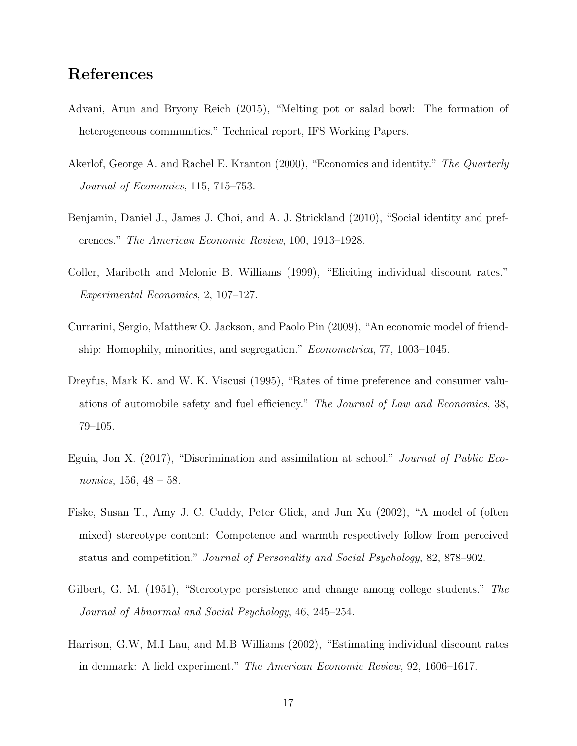# References

- <span id="page-17-1"></span>Advani, Arun and Bryony Reich (2015), "Melting pot or salad bowl: The formation of heterogeneous communities." Technical report, IFS Working Papers.
- <span id="page-17-4"></span>Akerlof, George A. and Rachel E. Kranton (2000), "Economics and identity." The Quarterly Journal of Economics, 115, 715–753.
- <span id="page-17-5"></span>Benjamin, Daniel J., James J. Choi, and A. J. Strickland (2010), "Social identity and preferences." The American Economic Review, 100, 1913–1928.
- <span id="page-17-7"></span>Coller, Maribeth and Melonie B. Williams (1999), "Eliciting individual discount rates." Experimental Economics, 2, 107–127.
- <span id="page-17-9"></span>Currarini, Sergio, Matthew O. Jackson, and Paolo Pin (2009), "An economic model of friendship: Homophily, minorities, and segregation." *Econometrica*, 77, 1003–1045.
- <span id="page-17-6"></span>Dreyfus, Mark K. and W. K. Viscusi (1995), "Rates of time preference and consumer valuations of automobile safety and fuel efficiency." The Journal of Law and Economics, 38, 79–105.
- <span id="page-17-0"></span>Eguia, Jon X. (2017), "Discrimination and assimilation at school." Journal of Public Economics, 156, 48 – 58.
- <span id="page-17-2"></span>Fiske, Susan T., Amy J. C. Cuddy, Peter Glick, and Jun Xu (2002), "A model of (often mixed) stereotype content: Competence and warmth respectively follow from perceived status and competition." Journal of Personality and Social Psychology, 82, 878–902.
- <span id="page-17-3"></span>Gilbert, G. M. (1951), "Stereotype persistence and change among college students." The Journal of Abnormal and Social Psychology, 46, 245–254.
- <span id="page-17-8"></span>Harrison, G.W, M.I Lau, and M.B Williams (2002), "Estimating individual discount rates in denmark: A field experiment." The American Economic Review, 92, 1606–1617.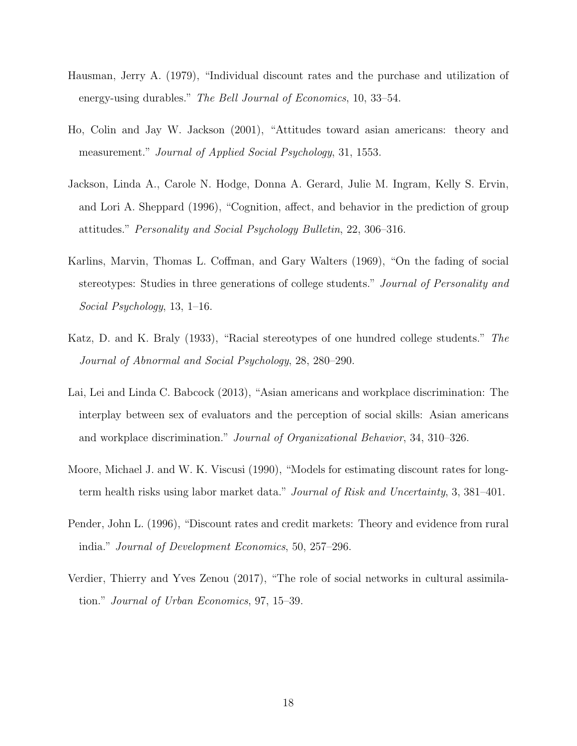- <span id="page-18-5"></span>Hausman, Jerry A. (1979), "Individual discount rates and the purchase and utilization of energy-using durables." The Bell Journal of Economics, 10, 33–54.
- <span id="page-18-0"></span>Ho, Colin and Jay W. Jackson (2001), "Attitudes toward asian americans: theory and measurement." Journal of Applied Social Psychology, 31, 1553.
- <span id="page-18-1"></span>Jackson, Linda A., Carole N. Hodge, Donna A. Gerard, Julie M. Ingram, Kelly S. Ervin, and Lori A. Sheppard (1996), "Cognition, affect, and behavior in the prediction of group attitudes." Personality and Social Psychology Bulletin, 22, 306–316.
- <span id="page-18-2"></span>Karlins, Marvin, Thomas L. Coffman, and Gary Walters (1969), "On the fading of social stereotypes: Studies in three generations of college students." Journal of Personality and Social Psychology, 13, 1–16.
- <span id="page-18-3"></span>Katz, D. and K. Braly (1933), "Racial stereotypes of one hundred college students." The Journal of Abnormal and Social Psychology, 28, 280–290.
- <span id="page-18-4"></span>Lai, Lei and Linda C. Babcock (2013), "Asian americans and workplace discrimination: The interplay between sex of evaluators and the perception of social skills: Asian americans and workplace discrimination." Journal of Organizational Behavior, 34, 310–326.
- <span id="page-18-6"></span>Moore, Michael J. and W. K. Viscusi (1990), "Models for estimating discount rates for longterm health risks using labor market data." Journal of Risk and Uncertainty, 3, 381–401.
- <span id="page-18-7"></span>Pender, John L. (1996), "Discount rates and credit markets: Theory and evidence from rural india." Journal of Development Economics, 50, 257–296.
- <span id="page-18-8"></span>Verdier, Thierry and Yves Zenou (2017), "The role of social networks in cultural assimilation." Journal of Urban Economics, 97, 15–39.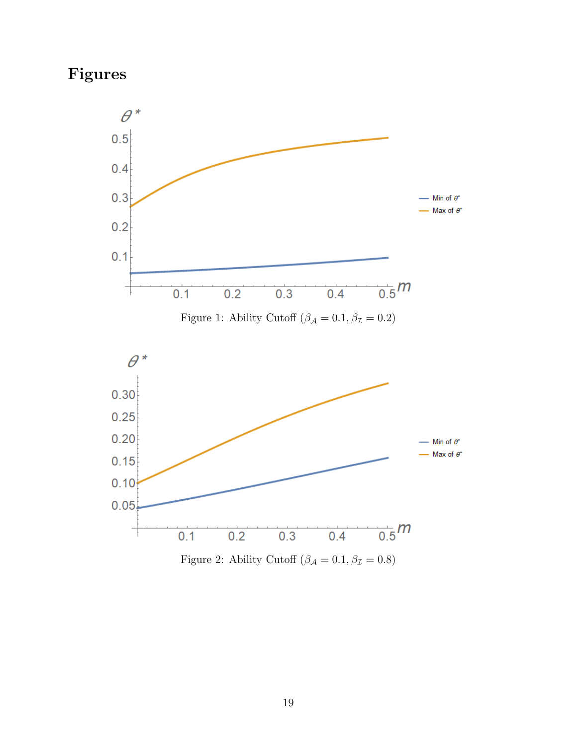# Figures

<span id="page-19-0"></span>



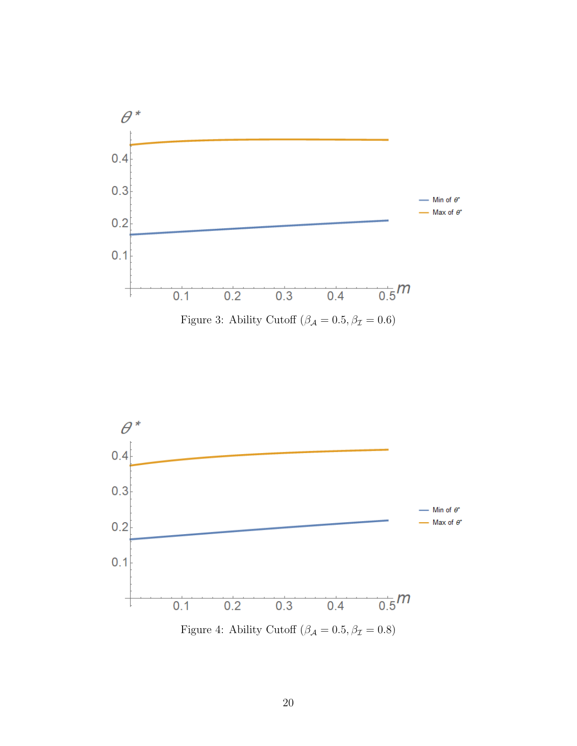

<span id="page-20-0"></span>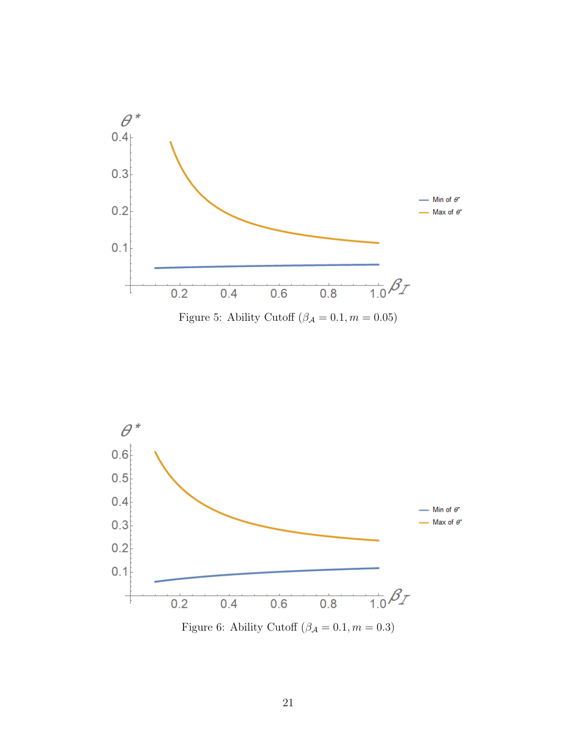<span id="page-21-0"></span>



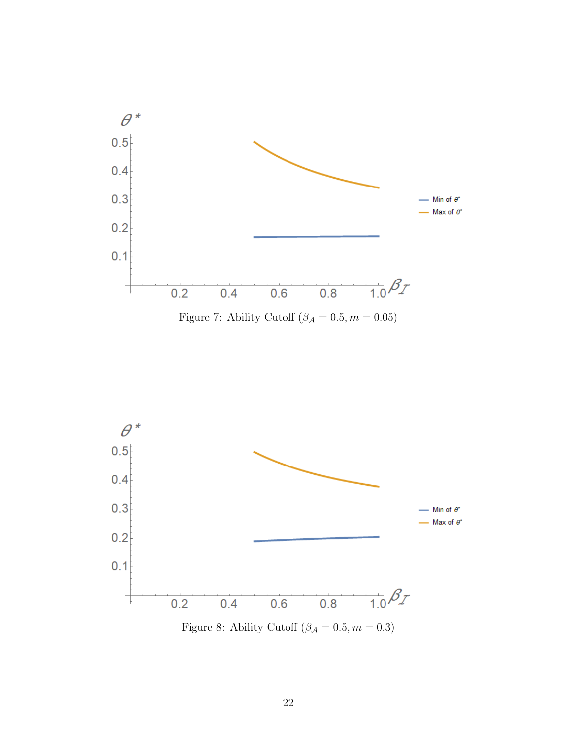



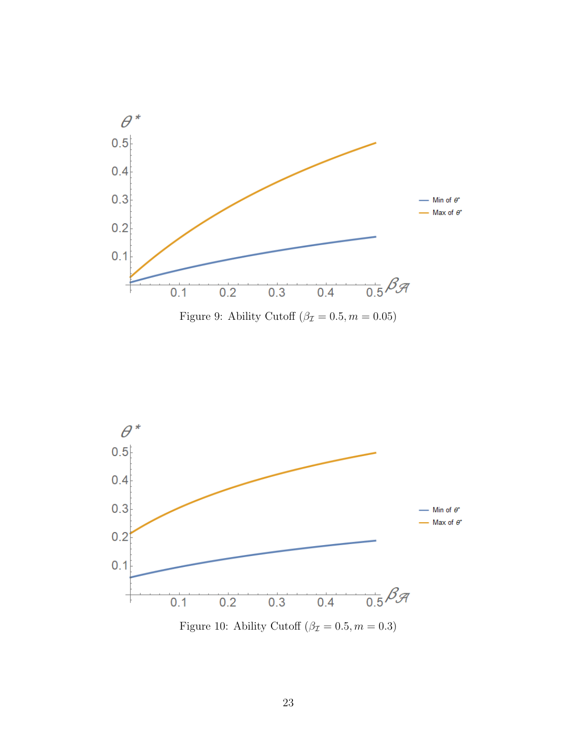



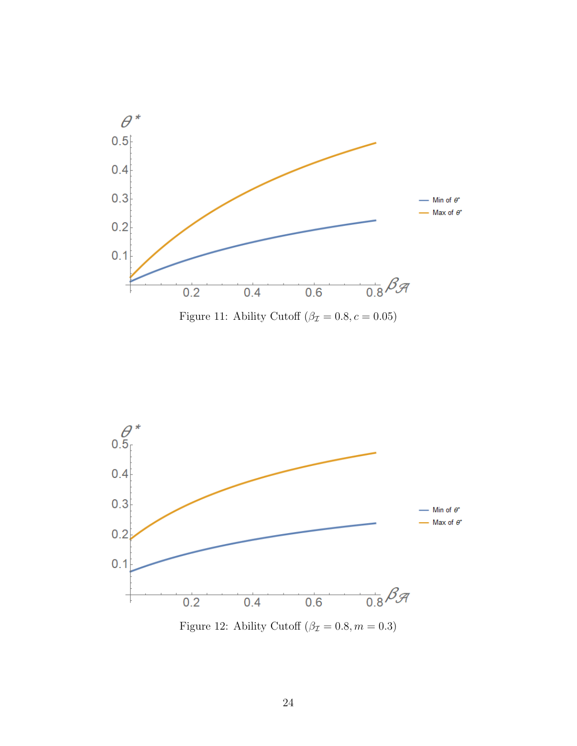



<span id="page-24-0"></span>

Figure 12: Ability Cutoff  $(\beta_{\mathcal{I}} = 0.8, m = 0.3)$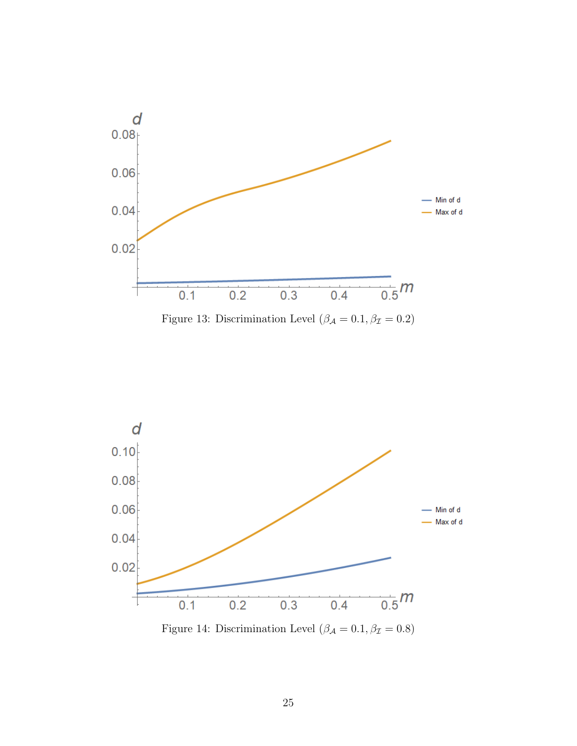<span id="page-25-0"></span>



<span id="page-25-1"></span>

Figure 14: Discrimination Level  $(\beta_{\mathcal{A}}=0.1, \beta_{\mathcal{I}}=0.8)$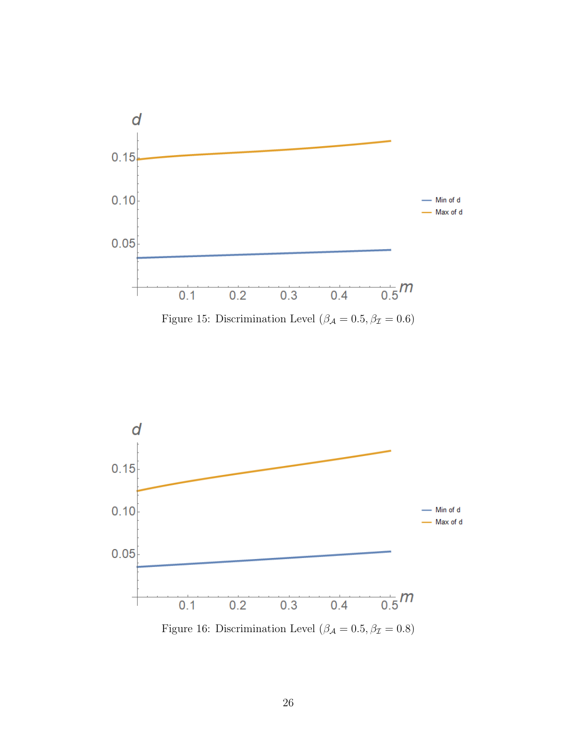

<span id="page-26-0"></span>

Figure 16: Discrimination Level  $(\beta_{\mathcal{A}}=0.5, \beta_{\mathcal{I}}=0.8)$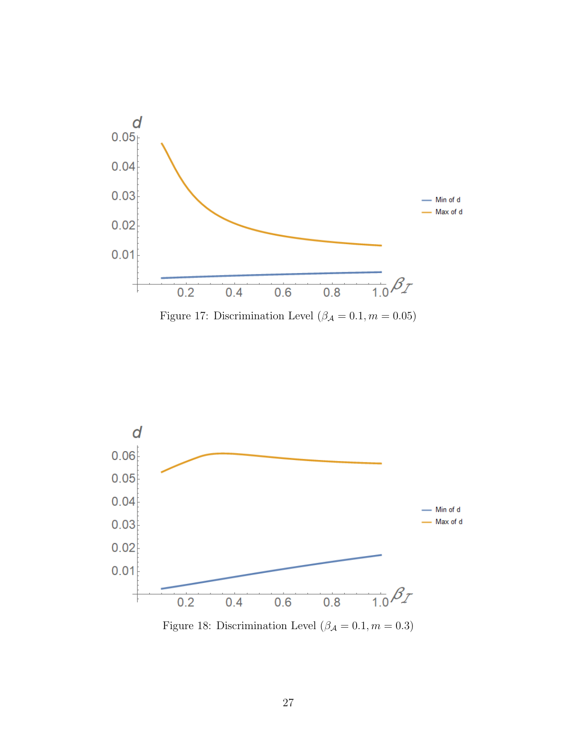<span id="page-27-0"></span>

Figure 17: Discrimination Level  $(\beta_{\mathcal{A}}=0.1, m=0.05)$ 



Figure 18: Discrimination Level  $(\beta_{\mathcal{A}}=0.1, m=0.3)$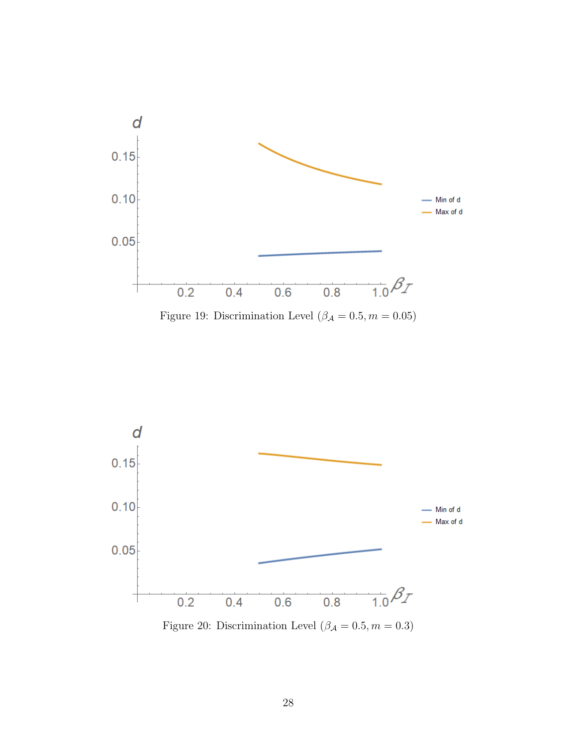





Figure 20: Discrimination Level  $(\beta_{\mathcal{A}} = 0.5, m = 0.3)$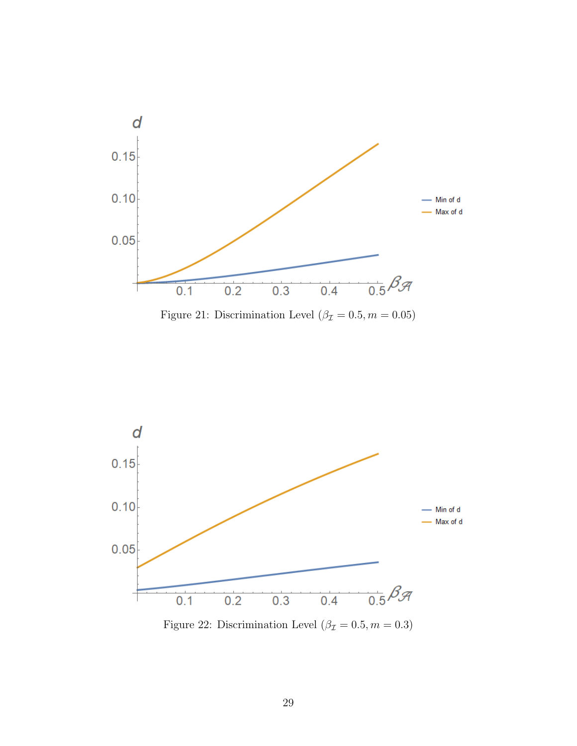





Figure 22: Discrimination Level  $(\beta_{\mathcal{I}} = 0.5, m = 0.3)$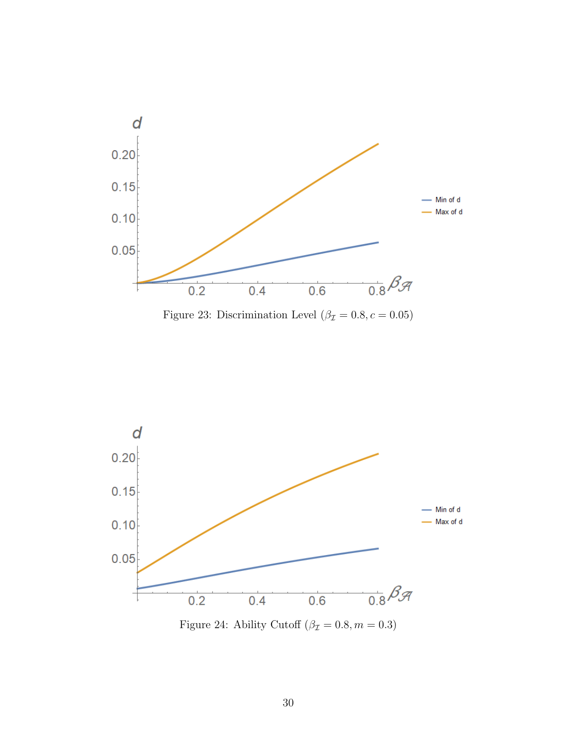



<span id="page-30-0"></span>

Figure 24: Ability Cutoff  $(\beta_{\mathcal{I}} = 0.8, m = 0.3)$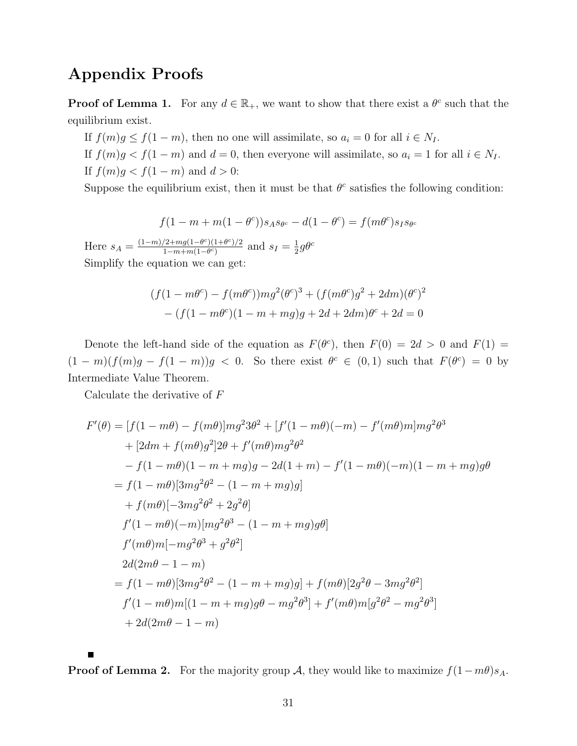## Appendix Proofs

**Proof of Lemma 1.** For any  $d \in \mathbb{R}_+$ , we want to show that there exist a  $\theta^c$  such that the equilibrium exist.

If  $f(m)g \le f(1-m)$ , then no one will assimilate, so  $a_i = 0$  for all  $i \in N_I$ .

If  $f(m)g < f(1 - m)$  and  $d = 0$ , then everyone will assimilate, so  $a_i = 1$  for all  $i \in N_I$ . If  $f(m)g < f(1 - m)$  and  $d > 0$ :

Suppose the equilibrium exist, then it must be that  $\theta^c$  satisfies the following condition:

$$
f(1 - m + m(1 - \theta^c))s_A s_{\theta^c} - d(1 - \theta^c) = f(m\theta^c)s_I s_{\theta^c}
$$

Here  $s_A = \frac{(1-m)/2 + mg(1-\theta^c)(1+\theta^c)/2}{1-m+m(1-\theta^c)}$  $\frac{(2+mg(1-\theta^c)(1+\theta^c)/2)}{1-m+m(1-\theta^c)}$  and  $s_I=\frac{1}{2}$  $\frac{1}{2}g\theta^c$ Simplify the equation we can get:

$$
(f(1 - m\theta^c) - f(m\theta^c))mg^2(\theta^c)^3 + (f(m\theta^c)g^2 + 2dm)(\theta^c)^2
$$
  
- 
$$
(f(1 - m\theta^c)(1 - m + mg)g + 2d + 2dm)\theta^c + 2d = 0
$$

Denote the left-hand side of the equation as  $F(\theta^c)$ , then  $F(0) = 2d > 0$  and  $F(1) =$  $(1-m)(f(m)g - f(1-m))g < 0$ . So there exist  $\theta^c \in (0,1)$  such that  $F(\theta^c) = 0$  by Intermediate Value Theorem.

Calculate the derivative of F

$$
F'(\theta) = [f(1 - m\theta) - f(m\theta)]mg^{2}3\theta^{2} + [f'(1 - m\theta)(-m) - f'(m\theta)m]mg^{2}\theta^{3}
$$
  
+  $[2dm + f(m\theta)g^{2}]2\theta + f'(m\theta)mg^{2}\theta^{2}$   
-  $f(1 - m\theta)(1 - m + mg)g - 2d(1 + m) - f'(1 - m\theta)(-m)(1 - m + mg)g\theta$   
=  $f(1 - m\theta)[3mg^{2}\theta^{2} - (1 - m + mg)g]$   
+  $f(m\theta)[-3mg^{2}\theta^{2} + 2g^{2}\theta]$   
 $f'(1 - m\theta)(-m)[mg^{2}\theta^{3} - (1 - m + mg)g\theta]$   
 $f'(m\theta)m[-mg^{2}\theta^{3} + g^{2}\theta^{2}]$   
 $2d(2m\theta - 1 - m)$   
=  $f(1 - m\theta)[3mg^{2}\theta^{2} - (1 - m + mg)g] + f(m\theta)[2g^{2}\theta - 3mg^{2}\theta^{2}]$   
 $f'(1 - m\theta)m[(1 - m + mg)g\theta - mg^{2}\theta^{3}] + f'(m\theta)m[g^{2}\theta^{2} - mg^{2}\theta^{3}]$   
+  $2d(2m\theta - 1 - m)$ 

**Proof of Lemma 2.** For the majority group A, they would like to maximize  $f(1-m\theta)s_A$ .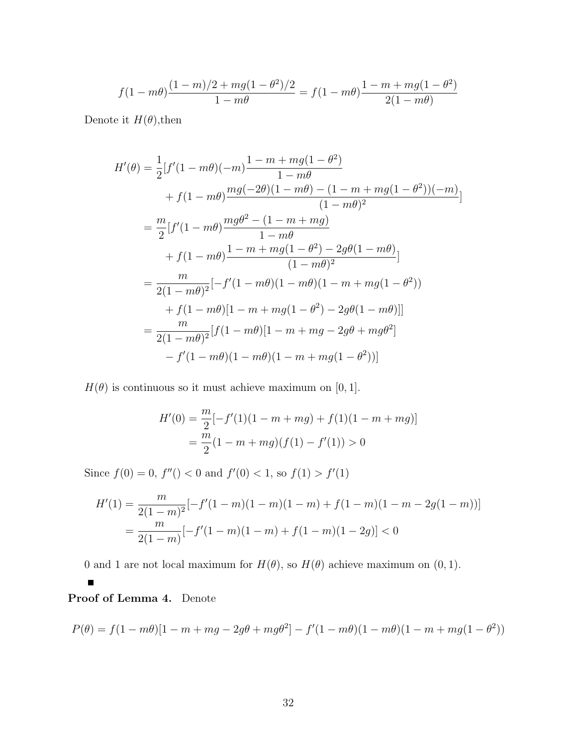$$
f(1-m\theta)\frac{(1-m)/2+mg(1-\theta^2)/2}{1-m\theta}=f(1-m\theta)\frac{1-m+mg(1-\theta^2)}{2(1-m\theta)}
$$

Denote it  $H(\theta)$ , then

$$
H'(\theta) = \frac{1}{2} [f'(1 - m\theta)(-m)\frac{1 - m + mg(1 - \theta^2)}{1 - m\theta} + f(1 - m\theta)\frac{mg(-2\theta)(1 - m\theta) - (1 - m + mg(1 - \theta^2))(-m)}{(1 - m\theta)^2}] = \frac{m}{2} [f'(1 - m\theta)\frac{mg\theta^2 - (1 - m + mg)}{1 - m\theta} + f(1 - m\theta)\frac{1 - m + mg(1 - \theta^2) - 2g\theta(1 - m\theta)}{(1 - m\theta)^2}] = \frac{m}{2(1 - m\theta)^2} [-f'(1 - m\theta)(1 - m\theta)(1 - m + mg(1 - \theta^2)) + f(1 - m\theta)[1 - m + mg(1 - \theta^2) - 2g\theta(1 - m\theta)]] = \frac{m}{2(1 - m\theta)^2} [f(1 - m\theta)[1 - m + mg - 2g\theta + mg\theta^2] - f'(1 - m\theta)(1 - m\theta)(1 - m + mg(1 - \theta^2))]
$$

 $H(\theta)$  is continuous so it must achieve maximum on [0, 1].

$$
H'(0) = \frac{m}{2}[-f'(1)(1 - m + mg) + f(1)(1 - m + mg)]
$$
  
= 
$$
\frac{m}{2}(1 - m + mg)(f(1) - f'(1)) > 0
$$

Since  $f(0) = 0$ ,  $f''( ) < 0$  and  $f'(0) < 1$ , so  $f(1) > f'(1)$ 

$$
H'(1) = \frac{m}{2(1-m)^2} \left[ -f'(1-m)(1-m)(1-m) + f(1-m)(1-m-2g(1-m)) \right]
$$
  
= 
$$
\frac{m}{2(1-m)} \left[ -f'(1-m)(1-m) + f(1-m)(1-2g) \right] < 0
$$

0 and 1 are not local maximum for  $H(\theta)$ , so  $H(\theta)$  achieve maximum on  $(0, 1)$ .

#### $\blacksquare$

## Proof of Lemma 4. Denote

$$
P(\theta) = f(1 - m\theta)[1 - m + mg - 2g\theta + mg\theta^2] - f'(1 - m\theta)(1 - m\theta)(1 - m + mg(1 - \theta^2))
$$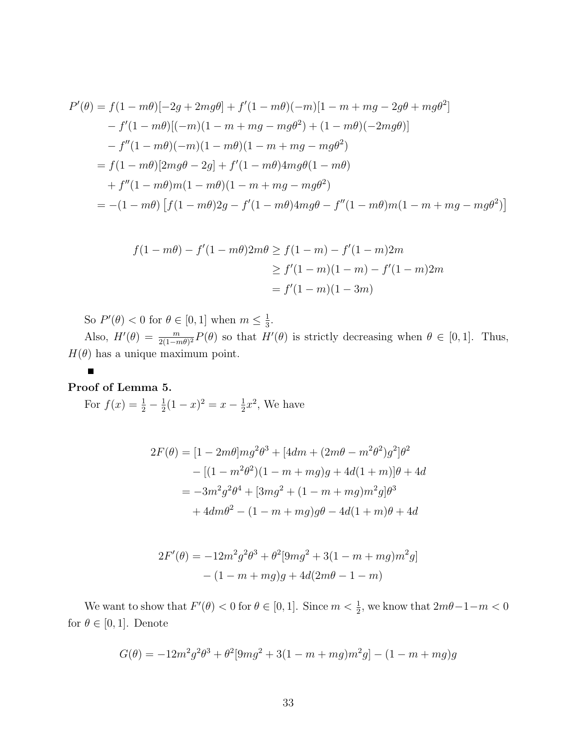$$
P'(\theta) = f(1 - m\theta)[-2g + 2mg\theta] + f'(1 - m\theta)(-m)[1 - m + mg - 2g\theta + mg\theta^2]
$$
  
\n
$$
- f'(1 - m\theta)[(-m)(1 - m + mg - mg\theta^2) + (1 - m\theta)(-2mg\theta)]
$$
  
\n
$$
- f''(1 - m\theta)(-m)(1 - m\theta)(1 - m + mg - mg\theta^2)
$$
  
\n
$$
= f(1 - m\theta)[2mg\theta - 2g] + f'(1 - m\theta)4mg\theta(1 - m\theta)
$$
  
\n
$$
+ f''(1 - m\theta)m(1 - m\theta)(1 - m + mg - mg\theta^2)
$$
  
\n
$$
= -(1 - m\theta) [f(1 - m\theta)2g - f'(1 - m\theta)4mg\theta - f''(1 - m\theta)m(1 - m + mg - mg\theta^2)]
$$

$$
f(1 - m\theta) - f'(1 - m\theta)2m\theta \ge f(1 - m) - f'(1 - m)2m
$$
  
\n
$$
\ge f'(1 - m)(1 - m) - f'(1 - m)2m
$$
  
\n
$$
= f'(1 - m)(1 - 3m)
$$

So  $P'(\theta) < 0$  for  $\theta \in [0,1]$  when  $m \leq \frac{1}{3}$  $\frac{1}{3}$ .

Also,  $H'(\theta) = \frac{m}{2(1-m\theta)^2} P(\theta)$  so that  $H'(\theta)$  is strictly decreasing when  $\theta \in [0, 1]$ . Thus,  $H(\theta)$  has a unique maximum point.

## Proof of Lemma 5.

For  $f(x) = \frac{1}{2} - \frac{1}{2}$  $\frac{1}{2}(1-x)^2 = x - \frac{1}{2}$  $\frac{1}{2}x^2$ , We have

$$
2F(\theta) = [1 - 2m\theta]mg^2\theta^3 + [4dm + (2m\theta - m^2\theta^2)g^2]\theta^2
$$
  
– [(1 - m^2\theta^2)(1 - m + mg)g + 4d(1 + m)]\theta + 4d  
= -3m^2g^2\theta^4 + [3mg^2 + (1 - m + mg)m^2g]\theta^3  
+ 4dm\theta^2 - (1 - m + mg)g\theta - 4d(1 + m)\theta + 4d

$$
2F'(\theta) = -12m^2g^2\theta^3 + \theta^2[9mg^2 + 3(1 - m + mg)m^2g]
$$

$$
- (1 - m + mg)g + 4d(2m\theta - 1 - m)
$$

We want to show that  $F'(\theta) < 0$  for  $\theta \in [0, 1]$ . Since  $m < \frac{1}{2}$ , we know that  $2m\theta - 1 - m < 0$ for  $\theta \in [0, 1]$ . Denote

$$
G(\theta) = -12m^2g^2\theta^3 + \theta^2[9mg^2 + 3(1 - m + mg)m^2g] - (1 - m + mg)g
$$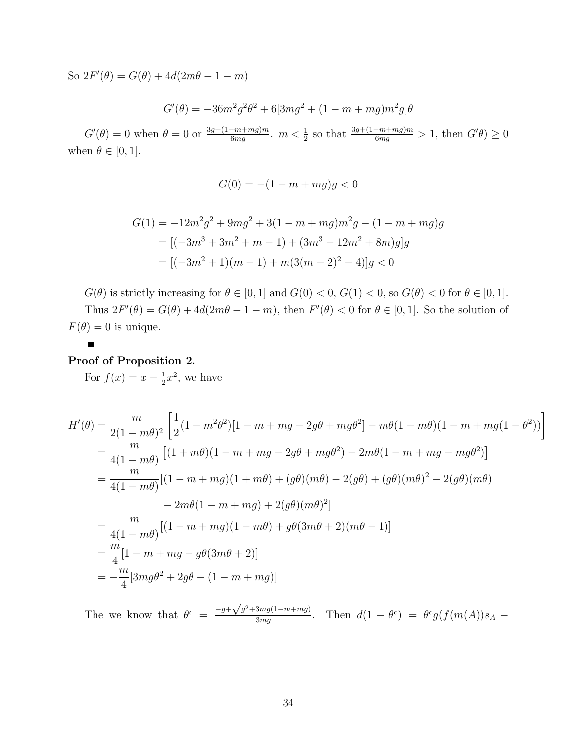So  $2F'(\theta) = G(\theta) + 4d(2m\theta - 1 - m)$ 

 $G'(\theta) = -36m^2g^2\theta^2 + 6[3mg^2 + (1 - m + mg)m^2g]\theta$ 

 $G'(\theta) = 0$  when  $\theta = 0$  or  $\frac{3g + (1 - m + mg)m}{6mg}$ .  $m < \frac{1}{2}$  so that  $\frac{3g + (1 - m + mg)m}{6mg} > 1$ , then  $G'(\theta) \ge 0$ when  $\theta \in [0, 1]$ .

$$
G(0) = -(1 - m + mg)g < 0
$$

$$
G(1) = -12m^2g^2 + 9mg^2 + 3(1 - m + mg)m^2g - (1 - m + mg)g
$$
  
= 
$$
[(-3m^3 + 3m^2 + m - 1) + (3m^3 - 12m^2 + 8m)g]g
$$
  
= 
$$
[(-3m^2 + 1)(m - 1) + m(3(m - 2)^2 - 4)]g < 0
$$

 $G(\theta)$  is strictly increasing for  $\theta \in [0, 1]$  and  $G(0) < 0$ ,  $G(1) < 0$ , so  $G(\theta) < 0$  for  $\theta \in [0, 1]$ . Thus  $2F'(\theta) = G(\theta) + 4d(2m\theta - 1 - m)$ , then  $F'(\theta) < 0$  for  $\theta \in [0, 1]$ . So the solution of  $F(\theta) = 0$  is unique.

#### Proof of Proposition 2.

For  $f(x) = x - \frac{1}{2}$  $\frac{1}{2}x^2$ , we have

$$
H'(\theta) = \frac{m}{2(1 - m\theta)^2} \left[ \frac{1}{2}(1 - m^2\theta^2)[1 - m + mg - 2g\theta + mg\theta^2] - m\theta(1 - m\theta)(1 - m + mg(1 - \theta^2)) \right]
$$
  
=  $\frac{m}{4(1 - m\theta)} \left[ (1 + m\theta)(1 - m + mg - 2g\theta + mg\theta^2) - 2m\theta(1 - m + mg - mg\theta^2) \right]$   
=  $\frac{m}{4(1 - m\theta)} \left[ (1 - m + mg)(1 + m\theta) + (g\theta)(m\theta) - 2(g\theta) + (g\theta)(m\theta)^2 - 2(g\theta)(m\theta) \right]$   
=  $\frac{m}{4(1 - m\theta)} \left[ (1 - m + mg) + 2(g\theta)(m\theta)^2 \right]$   
=  $\frac{m}{4(1 - m\theta)} \left[ (1 - m + mg)(1 - m\theta) + g\theta(3m\theta + 2)(m\theta - 1) \right]$   
=  $\frac{m}{4} [1 - m + mg - g\theta(3m\theta + 2)]$   
=  $-\frac{m}{4} [3mg\theta^2 + 2g\theta - (1 - m + mg)]$ 

The we know that  $\theta^c = \frac{-g + \sqrt{g^2 + 3mg(1-m+mg)}}{3mg}$  $\frac{3mg(1-m+mg)}{3mg}$ . Then  $d(1-\theta^c) = \theta^c g(f(m(A))s_A -$